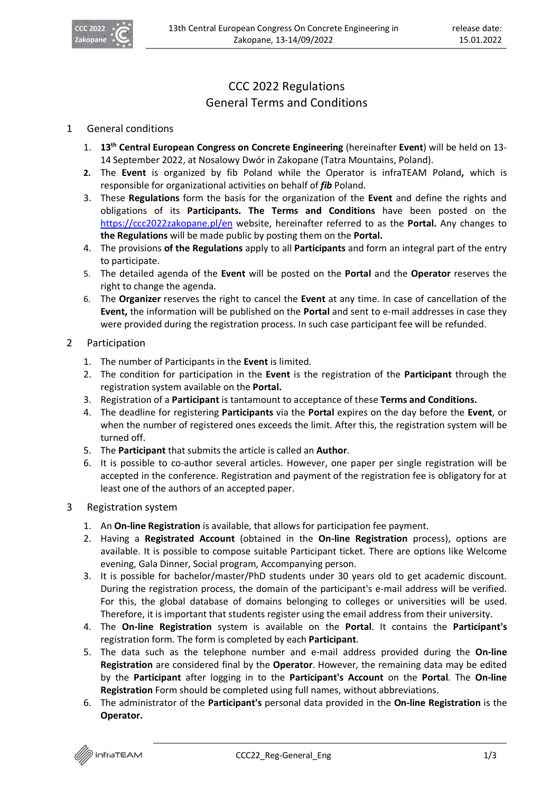

## CCC 2022 Regulations General Terms and Conditions

## 1 General conditions

- 1. **13th Central European Congress on Concrete Engineering** (hereinafter **Event**) will be held on 13- 14 September 2022, at Nosalowy Dwór in Zakopane (Tatra Mountains, Poland).
- **2.** The **Event** is organized by fib Poland while the Operator is infraTEAM Poland**,** which is responsible for organizational activities on behalf of *fib* Poland.
- 3. These **Regulations** form the basis for the organization of the **Event** and define the rights and obligations of its **Participants. The Terms and Conditions** have been posted on the https://ccc2022zakopane.pl/en website, hereinafter referred to as the **Portal.** Any changes to **the Regulations** will be made public by posting them on the **Portal.**
- 4. The provisions **of the Regulations** apply to all **Participants** and form an integral part of the entry to participate.
- 5. The detailed agenda of the **Event** will be posted on the **Portal** and the **Operator** reserves the right to change the agenda.
- 6. The **Organizer** reserves the right to cancel the **Event** at any time. In case of cancellation of the **Event,** the information will be published on the **Portal** and sent to e-mail addresses in case they were provided during the registration process. In such case participant fee will be refunded.
- 2 Participation
	- 1. The number of Participants in the **Event** is limited.
	- 2. The condition for participation in the **Event** is the registration of the **Participant** through the registration system available on the **Portal.**
	- 3. Registration of a **Participant** is tantamount to acceptance of these **Terms and Conditions.**
	- 4. The deadline for registering **Participants** via the **Portal** expires on the day before the **Event**, or when the number of registered ones exceeds the limit. After this, the registration system will be turned off.
	- 5. The **Participant** that submits the article is called an **Author**.
	- 6. It is possible to co-author several articles. However, one paper per single registration will be accepted in the conference. Registration and payment of the registration fee is obligatory for at least one of the authors of an accepted paper.
- 3 Registration system
	- 1. An **On-line Registration** is available, that allows for participation fee payment.
	- 2. Having a **Registrated Account** (obtained in the **On-line Registration** process), options are available. It is possible to compose suitable Participant ticket. There are options like Welcome evening, Gala Dinner, Social program, Accompanying person.
	- 3. It is possible for bachelor/master/PhD students under 30 years old to get academic discount. During the registration process, the domain of the participant's e-mail address will be verified. For this, the global database of domains belonging to colleges or universities will be used. Therefore, it is important that students register using the email address from their university.
	- 4. The **On-line Registration** system is available on the **Portal**. It contains the **Participant's**  registration form. The form is completed by each **Participant**.
	- 5. The data such as the telephone number and e-mail address provided during the **On-line Registration** are considered final by the **Operator**. However, the remaining data may be edited by the **Participant** after logging in to the **Participant's Account** on the **Portal**. The **On-line Registration** Form should be completed using full names, without abbreviations.
	- 6. The administrator of the **Participant's** personal data provided in the **On-line Registration** is the **Operator.**

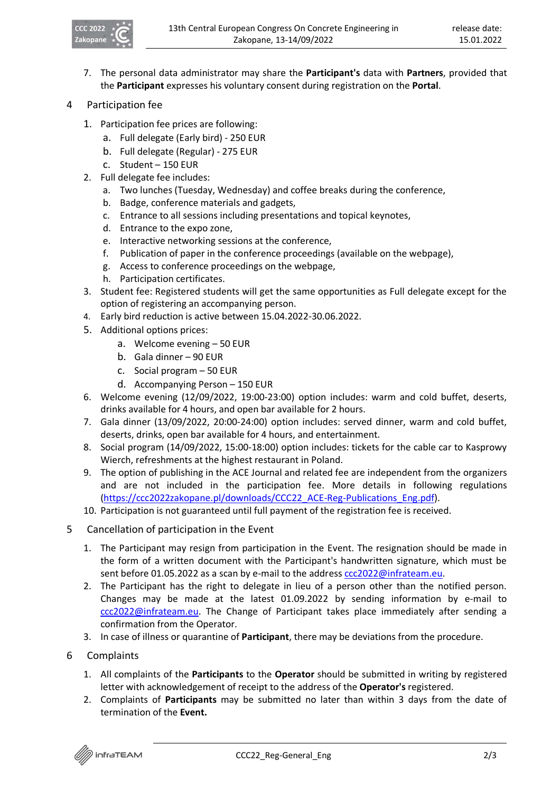

- 7. The personal data administrator may share the **Participant's** data with **Partners**, provided that the **Participant** expresses his voluntary consent during registration on the **Portal**.
- 4 Participation fee
	- 1. Participation fee prices are following:
		- a. Full delegate (Early bird) 250 EUR
		- b. Full delegate (Regular) 275 EUR
		- c. Student 150 EUR
	- 2. Full delegate fee includes:
		- a. Two lunches (Tuesday, Wednesday) and coffee breaks during the conference,
		- b. Badge, conference materials and gadgets,
		- c. Entrance to all sessions including presentations and topical keynotes,
		- d. Entrance to the expo zone,
		- e. Interactive networking sessions at the conference,
		- f. Publication of paper in the conference proceedings (available on the webpage),
		- g. Access to conference proceedings on the webpage,
		- h. Participation certificates.
	- 3. Student fee: Registered students will get the same opportunities as Full delegate except for the option of registering an accompanying person.
	- 4. Early bird reduction is active between 15.04.2022-30.06.2022.
	- 5. Additional options prices:
		- a. Welcome evening 50 EUR
		- b. Gala dinner 90 EUR
		- c. Social program 50 EUR
		- d. Accompanying Person 150 EUR
	- 6. Welcome evening (12/09/2022, 19:00-23:00) option includes: warm and cold buffet, deserts, drinks available for 4 hours, and open bar available for 2 hours.
	- 7. Gala dinner (13/09/2022, 20:00-24:00) option includes: served dinner, warm and cold buffet, deserts, drinks, open bar available for 4 hours, and entertainment.
	- 8. Social program (14/09/2022, 15:00-18:00) option includes: tickets for the cable car to Kasprowy Wierch, refreshments at the highest restaurant in Poland.
	- 9. The option of publishing in the ACE Journal and related fee are independent from the organizers and are not included in the participation fee. More details in following regulations (https://ccc2022zakopane.pl/downloads/CCC22\_ACE-Reg-Publications\_Eng.pdf).
	- 10. Participation is not guaranteed until full payment of the registration fee is received.
- 5 Cancellation of participation in the Event
	- 1. The Participant may resign from participation in the Event. The resignation should be made in the form of a written document with the Participant's handwritten signature, which must be sent before 01.05.2022 as a scan by e-mail to the address ccc2022@infrateam.eu.
	- 2. The Participant has the right to delegate in lieu of a person other than the notified person. Changes may be made at the latest 01.09.2022 by sending information by e-mail to ccc2022@infrateam.eu. The Change of Participant takes place immediately after sending a confirmation from the Operator.
	- 3. In case of illness or quarantine of **Participant**, there may be deviations from the procedure.
- 6 Complaints
	- 1. All complaints of the **Participants** to the **Operator** should be submitted in writing by registered letter with acknowledgement of receipt to the address of the **Operator's** registered.
	- 2. Complaints of **Participants** may be submitted no later than within 3 days from the date of termination of the **Event.**